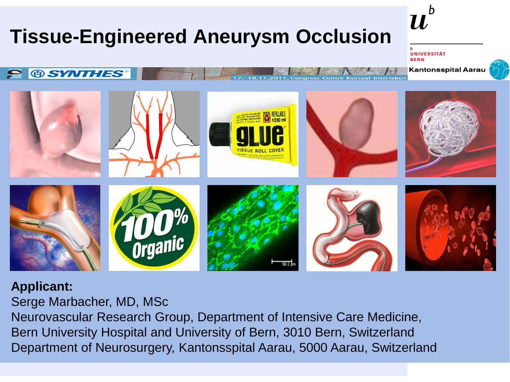## **Tissue-Engineered Aneurysm Occlusion**

**JNIVERSITÄT BERN** 

 $\boldsymbol{u}$ 

**Kantonsspital Aarau** 



## **Applicant:**

**® SYNTHES** 

 $\boldsymbol{\varphi}$ 

Serge Marbacher, MD, MSc Neurovascular Research Group, Department of Intensive Care Medicine, Bern University Hospital and University of Bern, 3010 Bern, Switzerland Department of Neurosurgery, Kantonsspital Aarau, 5000 Aarau, Switzerland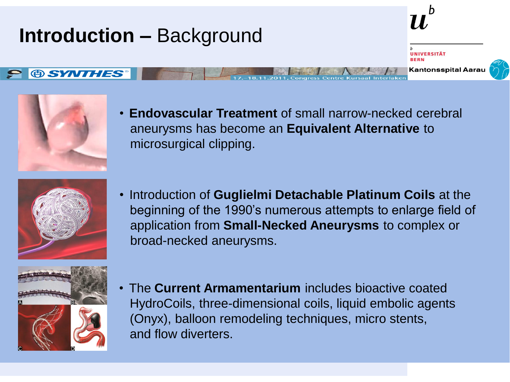## **Introduction –** Background **Kantonsspital Aarau @SYNTHES**



• **Endovascular Treatment** of small narrow-necked cerebral aneurysms has become an **Equivalent Alternative** to microsurgical clipping.



• Introduction of **Guglielmi Detachable Platinum Coils** at the beginning of the 1990's numerous attempts to enlarge field of application from **Small-Necked Aneurysms** to complex or broad-necked aneurysms.



• The **Current Armamentarium** includes bioactive coated HydroCoils, three-dimensional coils, liquid embolic agents (Onyx), balloon remodeling techniques, micro stents, and flow diverters.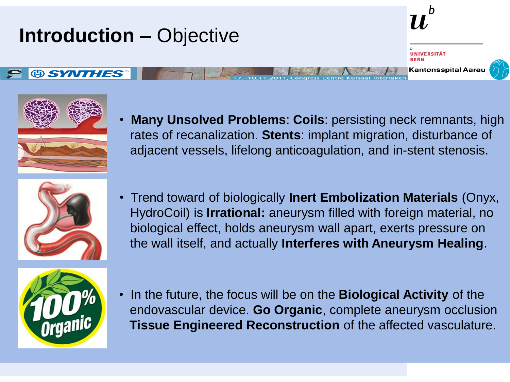



• **Many Unsolved Problems**: **Coils**: persisting neck remnants, high rates of recanalization. **Stents**: implant migration, disturbance of adjacent vessels, lifelong anticoagulation, and in-stent stenosis.



• Trend toward of biologically **Inert Embolization Materials** (Onyx, HydroCoil) is **Irrational:** aneurysm filled with foreign material, no biological effect, holds aneurysm wall apart, exerts pressure on the wall itself, and actually **Interferes with Aneurysm Healing**.



• In the future, the focus will be on the **Biological Activity** of the endovascular device. **Go Organic**, complete aneurysm occlusion  **Tissue Engineered Reconstruction** of the affected vasculature.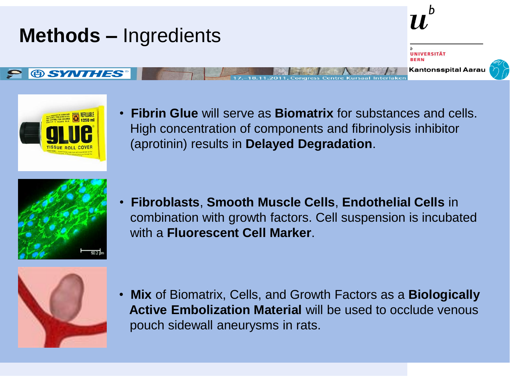



• **Fibrin Glue** will serve as **Biomatrix** for substances and cells. High concentration of components and fibrinolysis inhibitor (aprotinin) results in **Delayed Degradation**.



• **Fibroblasts**, **Smooth Muscle Cells**, **Endothelial Cells** in combination with growth factors. Cell suspension is incubated with a **Fluorescent Cell Marker**.



• **Mix** of Biomatrix, Cells, and Growth Factors as a **Biologically Active Embolization Material** will be used to occlude venous pouch sidewall aneurysms in rats.